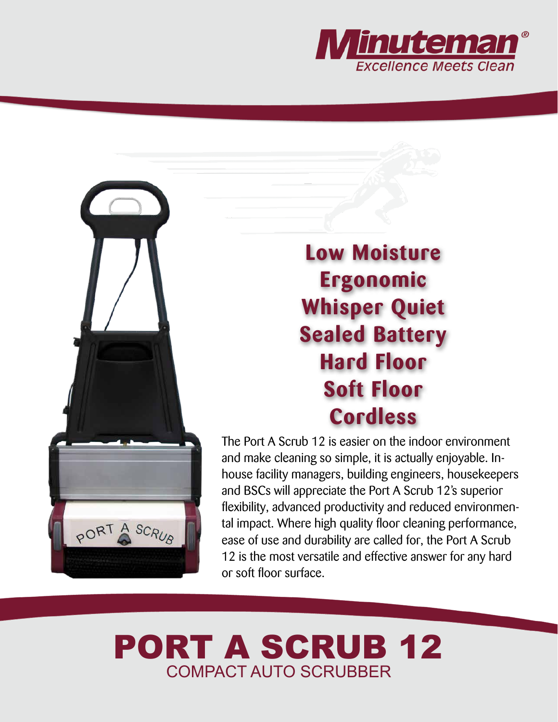



**Low Moisture Ergonomic Whisper Quiet Sealed Battery Hard Floor Soft Floor Cordless**

The Port A Scrub 12 is easier on the indoor environment and make cleaning so simple, it is actually enjoyable. Inhouse facility managers, building engineers, housekeepers and BSCs will appreciate the Port A Scrub 12's superior flexibility, advanced productivity and reduced environmental impact. Where high quality floor cleaning performance, ease of use and durability are called for, the Port A Scrub 12 is the most versatile and effective answer for any hard or soft floor surface.

## PORT A SCRUB 12 COMPACT AUTO SCRUBBER